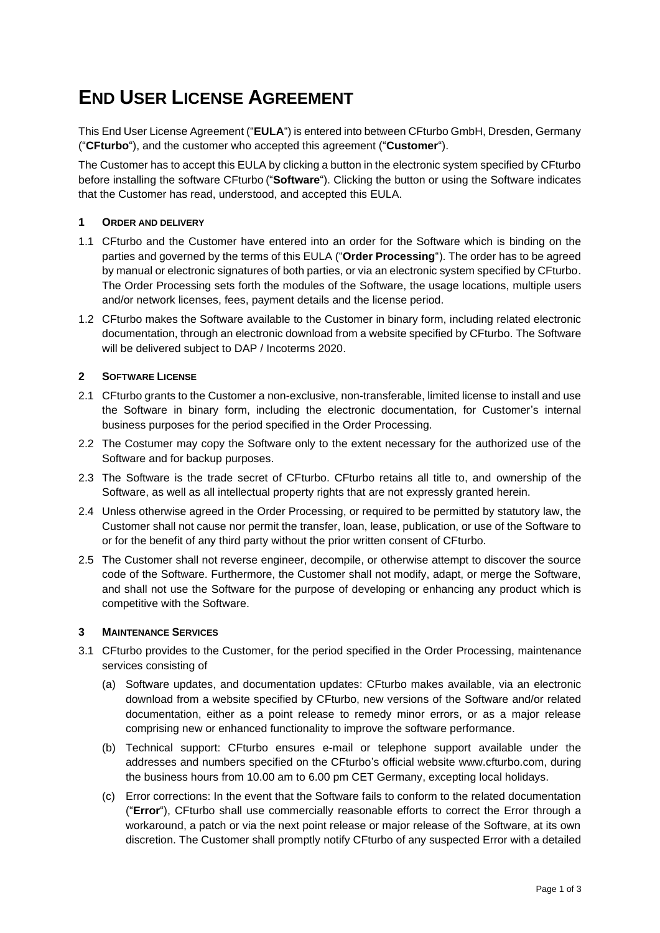# **END USER LICENSE AGREEMENT**

This End User License Agreement ("**EULA**") is entered into between CFturbo GmbH, Dresden, Germany ("**CFturbo**"), and the customer who accepted this agreement ("**Customer**").

The Customer has to accept this EULA by clicking a button in the electronic system specified by CFturbo before installing the software CFturbo ("**Software**"). Clicking the button or using the Software indicates that the Customer has read, understood, and accepted this EULA.

# **1 ORDER AND DELIVERY**

- 1.1 CFturbo and the Customer have entered into an order for the Software which is binding on the parties and governed by the terms of this EULA ("**Order Processing**"). The order has to be agreed by manual or electronic signatures of both parties, or via an electronic system specified by CFturbo. The Order Processing sets forth the modules of the Software, the usage locations, multiple users and/or network licenses, fees, payment details and the license period.
- 1.2 CFturbo makes the Software available to the Customer in binary form, including related electronic documentation, through an electronic download from a website specified by CFturbo. The Software will be delivered subject to DAP / Incoterms 2020.

## **2 SOFTWARE LICENSE**

- 2.1 CFturbo grants to the Customer a non-exclusive, non-transferable, limited license to install and use the Software in binary form, including the electronic documentation, for Customer's internal business purposes for the period specified in the Order Processing.
- 2.2 The Costumer may copy the Software only to the extent necessary for the authorized use of the Software and for backup purposes.
- 2.3 The Software is the trade secret of CFturbo. CFturbo retains all title to, and ownership of the Software, as well as all intellectual property rights that are not expressly granted herein.
- 2.4 Unless otherwise agreed in the Order Processing, or required to be permitted by statutory law, the Customer shall not cause nor permit the transfer, loan, lease, publication, or use of the Software to or for the benefit of any third party without the prior written consent of CFturbo.
- 2.5 The Customer shall not reverse engineer, decompile, or otherwise attempt to discover the source code of the Software. Furthermore, the Customer shall not modify, adapt, or merge the Software, and shall not use the Software for the purpose of developing or enhancing any product which is competitive with the Software.

#### **3 MAINTENANCE SERVICES**

- 3.1 CFturbo provides to the Customer, for the period specified in the Order Processing, maintenance services consisting of
	- (a) Software updates, and documentation updates: CFturbo makes available, via an electronic download from a website specified by CFturbo, new versions of the Software and/or related documentation, either as a point release to remedy minor errors, or as a major release comprising new or enhanced functionality to improve the software performance.
	- (b) Technical support: CFturbo ensures e-mail or telephone support available under the addresses and numbers specified on the CFturbo's official website www.cfturbo.com, during the business hours from 10.00 am to 6.00 pm CET Germany, excepting local holidays.
	- (c) Error corrections: In the event that the Software fails to conform to the related documentation ("**Error**"), CFturbo shall use commercially reasonable efforts to correct the Error through a workaround, a patch or via the next point release or major release of the Software, at its own discretion. The Customer shall promptly notify CFturbo of any suspected Error with a detailed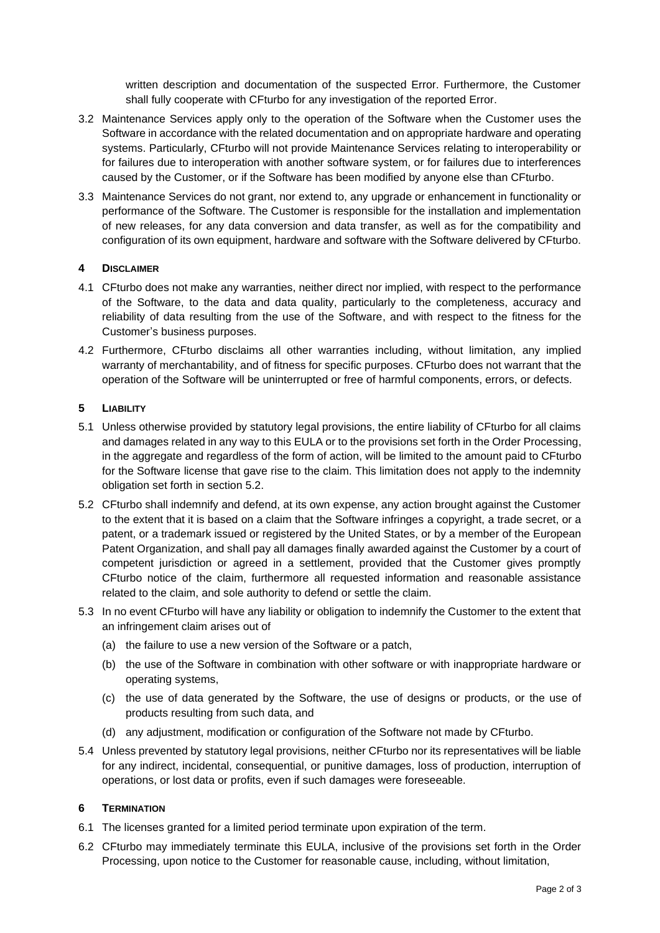written description and documentation of the suspected Error. Furthermore, the Customer shall fully cooperate with CFturbo for any investigation of the reported Error.

- 3.2 Maintenance Services apply only to the operation of the Software when the Customer uses the Software in accordance with the related documentation and on appropriate hardware and operating systems. Particularly, CFturbo will not provide Maintenance Services relating to interoperability or for failures due to interoperation with another software system, or for failures due to interferences caused by the Customer, or if the Software has been modified by anyone else than CFturbo.
- 3.3 Maintenance Services do not grant, nor extend to, any upgrade or enhancement in functionality or performance of the Software. The Customer is responsible for the installation and implementation of new releases, for any data conversion and data transfer, as well as for the compatibility and configuration of its own equipment, hardware and software with the Software delivered by CFturbo.

# **4 DISCLAIMER**

- 4.1 CFturbo does not make any warranties, neither direct nor implied, with respect to the performance of the Software, to the data and data quality, particularly to the completeness, accuracy and reliability of data resulting from the use of the Software, and with respect to the fitness for the Customer's business purposes.
- 4.2 Furthermore, CFturbo disclaims all other warranties including, without limitation, any implied warranty of merchantability, and of fitness for specific purposes. CFturbo does not warrant that the operation of the Software will be uninterrupted or free of harmful components, errors, or defects.

## **5 LIABILITY**

- 5.1 Unless otherwise provided by statutory legal provisions, the entire liability of CFturbo for all claims and damages related in any way to this EULA or to the provisions set forth in the Order Processing, in the aggregate and regardless of the form of action, will be limited to the amount paid to CFturbo for the Software license that gave rise to the claim. This limitation does not apply to the indemnity obligation set forth in section 5.2.
- 5.2 CFturbo shall indemnify and defend, at its own expense, any action brought against the Customer to the extent that it is based on a claim that the Software infringes a copyright, a trade secret, or a patent, or a trademark issued or registered by the United States, or by a member of the European Patent Organization, and shall pay all damages finally awarded against the Customer by a court of competent jurisdiction or agreed in a settlement, provided that the Customer gives promptly CFturbo notice of the claim, furthermore all requested information and reasonable assistance related to the claim, and sole authority to defend or settle the claim.
- 5.3 In no event CFturbo will have any liability or obligation to indemnify the Customer to the extent that an infringement claim arises out of
	- (a) the failure to use a new version of the Software or a patch,
	- (b) the use of the Software in combination with other software or with inappropriate hardware or operating systems,
	- (c) the use of data generated by the Software, the use of designs or products, or the use of products resulting from such data, and
	- (d) any adjustment, modification or configuration of the Software not made by CFturbo.
- 5.4 Unless prevented by statutory legal provisions, neither CFturbo nor its representatives will be liable for any indirect, incidental, consequential, or punitive damages, loss of production, interruption of operations, or lost data or profits, even if such damages were foreseeable.

#### **6 TERMINATION**

- 6.1 The licenses granted for a limited period terminate upon expiration of the term.
- 6.2 CFturbo may immediately terminate this EULA, inclusive of the provisions set forth in the Order Processing, upon notice to the Customer for reasonable cause, including, without limitation,